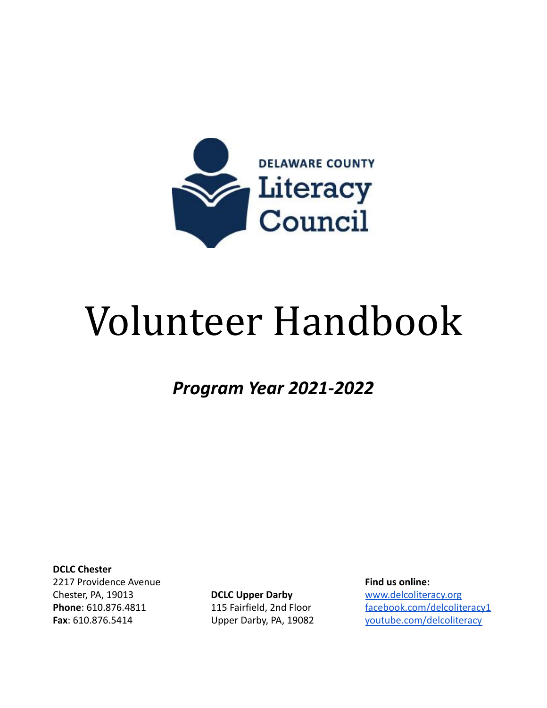

# Volunteer Handbook

*Program Year 2021-2022*

**DCLC Chester**

2217 Providence Avenue Chester, PA, 19013 **Phone**: 610.876.4811 **Fax**: 610.876.5414

**DCLC Upper Darby** 115 Fairfield, 2nd Floor Upper Darby, PA, 19082 **Find us online:** [www.delcoliteracy.org](http://www.delcoliteracy.org) [facebook.com/delcoliteracy1](http://facebook.com/delcoliteracy1) [youtube.com/delcoliteracy](http://youtube.com/delcoliteracy)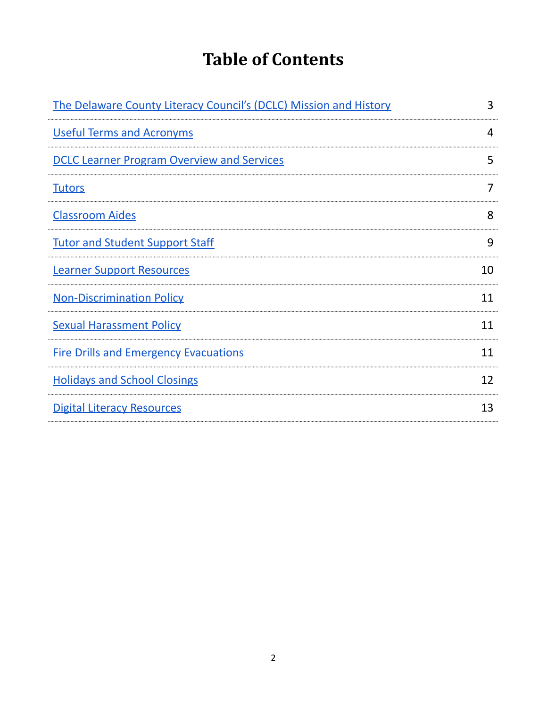# **Table of Contents**

| The Delaware County Literacy Council's (DCLC) Mission and History | 3  |
|-------------------------------------------------------------------|----|
| <b>Useful Terms and Acronyms</b>                                  | 4  |
| <b>DCLC Learner Program Overview and Services</b>                 | 5  |
| <b>Tutors</b>                                                     |    |
| <b>Classroom Aides</b>                                            | 8  |
| <b>Tutor and Student Support Staff</b>                            | 9  |
| <b>Learner Support Resources</b>                                  | 10 |
| <b>Non-Discrimination Policy</b>                                  | 11 |
| <b>Sexual Harassment Policy</b>                                   | 11 |
| <b>Fire Drills and Emergency Evacuations</b>                      | 11 |
| <b>Holidays and School Closings</b>                               | 12 |
| <b>Digital Literacy Resources</b>                                 | 13 |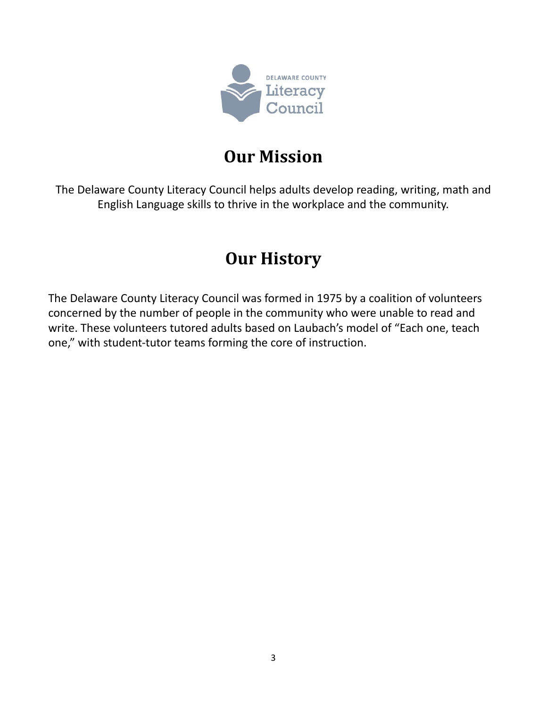

# **Our Mission**

<span id="page-2-0"></span>The Delaware County Literacy Council helps adults develop reading, writing, math and English Language skills to thrive in the workplace and the community.

# **Our History**

The Delaware County Literacy Council was formed in 1975 by a coalition of volunteers concerned by the number of people in the community who were unable to read and write. These volunteers tutored adults based on Laubach's model of "Each one, teach one," with student-tutor teams forming the core of instruction.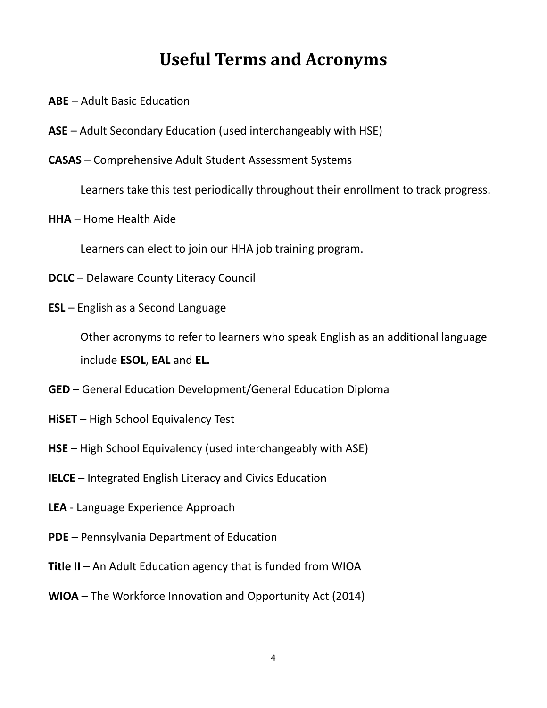# **Useful Terms and Acronyms**

- <span id="page-3-0"></span>**ABE** – Adult Basic Education
- **ASE** Adult Secondary Education (used interchangeably with HSE)
- **CASAS** Comprehensive Adult Student Assessment Systems

Learners take this test periodically throughout their enrollment to track progress.

**HHA** – Home Health Aide

Learners can elect to join our HHA job training program.

- **DCLC** Delaware County Literacy Council
- **ESL** English as a Second Language

Other acronyms to refer to learners who speak English as an additional language include **ESOL**, **EAL** and **EL.**

- **GED** General Education Development/General Education Diploma
- **HiSET** High School Equivalency Test
- **HSE** High School Equivalency (used interchangeably with ASE)
- **IELCE** Integrated English Literacy and Civics Education
- **LEA** Language Experience Approach
- **PDE** Pennsylvania Department of Education
- **Title II** An Adult Education agency that is funded from WIOA
- **WIOA** The Workforce Innovation and Opportunity Act (2014)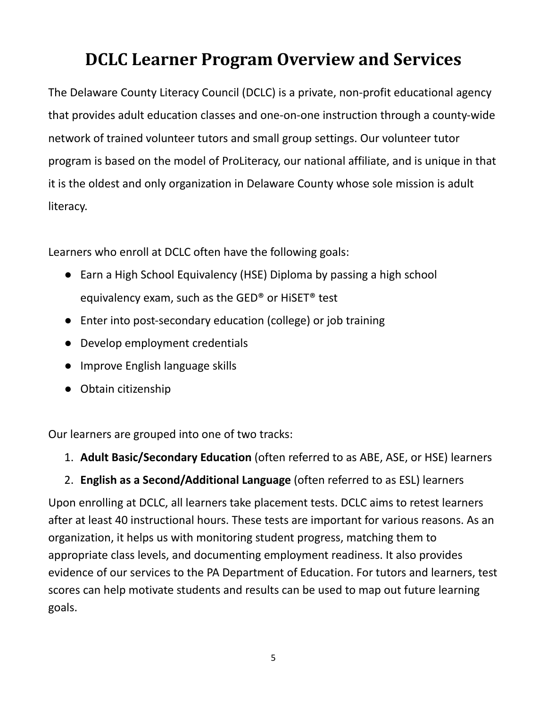# <span id="page-4-0"></span>**DCLC Learner Program Overview and Services**

The Delaware County Literacy Council (DCLC) is a private, non-profit educational agency that provides adult education classes and one-on-one instruction through a county-wide network of trained volunteer tutors and small group settings. Our volunteer tutor program is based on the model of ProLiteracy, our national affiliate, and is unique in that it is the oldest and only organization in Delaware County whose sole mission is adult literacy.

Learners who enroll at DCLC often have the following goals:

- Earn a High School Equivalency (HSE) Diploma by passing a high school equivalency exam, such as the GED® or HiSET® test
- Enter into post-secondary education (college) or job training
- Develop employment credentials
- Improve English language skills
- Obtain citizenship

Our learners are grouped into one of two tracks:

- 1. **Adult Basic/Secondary Education** (often referred to as ABE, ASE, or HSE) learners
- 2. **English as a Second/Additional Language** (often referred to as ESL) learners

Upon enrolling at DCLC, all learners take placement tests. DCLC aims to retest learners after at least 40 instructional hours. These tests are important for various reasons. As an organization, it helps us with monitoring student progress, matching them to appropriate class levels, and documenting employment readiness. It also provides evidence of our services to the PA Department of Education. For tutors and learners, test scores can help motivate students and results can be used to map out future learning goals.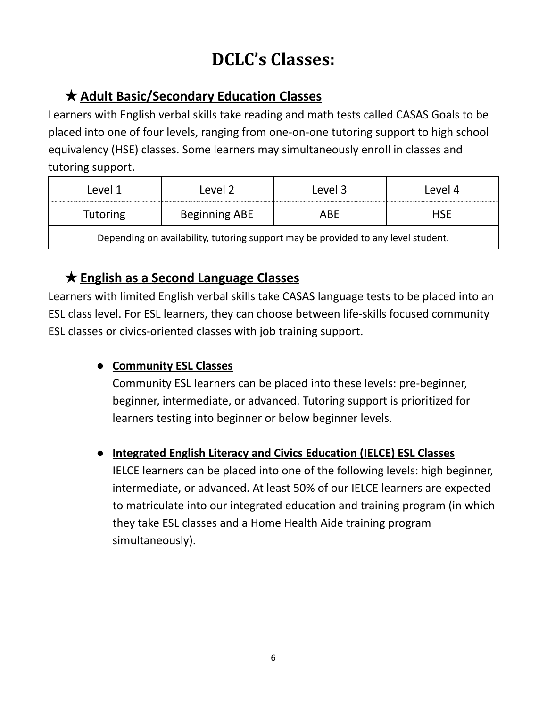# **DCLC's Classes:**

### ★**Adult Basic/Secondary Education Classes**

Learners with English verbal skills take reading and math tests called CASAS Goals to be placed into one of four levels, ranging from one-on-one tutoring support to high school equivalency (HSE) classes. Some learners may simultaneously enroll in classes and tutoring support.

| Level 1                                                                           | Level 2       | Level 3 | Level 4    |
|-----------------------------------------------------------------------------------|---------------|---------|------------|
| <b>Tutoring</b>                                                                   | Beginning ABE | ABE     | <b>HSE</b> |
| Depending on availability, tutoring support may be provided to any level student. |               |         |            |

# ★**English as a Second Language Classes**

Learners with limited English verbal skills take CASAS language tests to be placed into an ESL class level. For ESL learners, they can choose between life-skills focused community ESL classes or civics-oriented classes with job training support.

### **● Community ESL Classes**

Community ESL learners can be placed into these levels: pre-beginner, beginner, intermediate, or advanced. Tutoring support is prioritized for learners testing into beginner or below beginner levels.

### **● Integrated English Literacy and Civics Education (IELCE) ESL Classes**

IELCE learners can be placed into one of the following levels: high beginner, intermediate, or advanced. At least 50% of our IELCE learners are expected to matriculate into our integrated education and training program (in which they take ESL classes and a Home Health Aide training program simultaneously).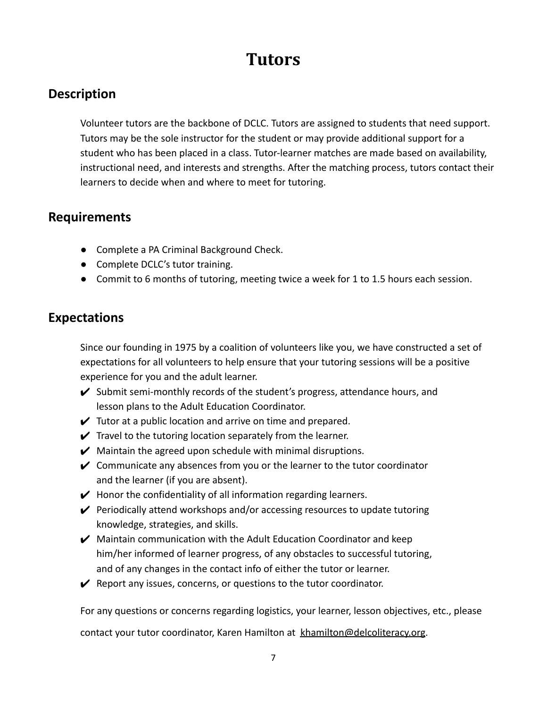# **Tutors**

### <span id="page-6-0"></span>**Description**

Volunteer tutors are the backbone of DCLC. Tutors are assigned to students that need support. Tutors may be the sole instructor for the student or may provide additional support for a student who has been placed in a class. Tutor-learner matches are made based on availability, instructional need, and interests and strengths. After the matching process, tutors contact their learners to decide when and where to meet for tutoring.

### **Requirements**

- Complete a PA Criminal Background Check.
- Complete DCLC's tutor training.
- Commit to 6 months of tutoring, meeting twice a week for 1 to 1.5 hours each session.

### **Expectations**

Since our founding in 1975 by a coalition of volunteers like you, we have constructed a set of expectations for all volunteers to help ensure that your tutoring sessions will be a positive experience for you and the adult learner.

- $\checkmark$  Submit semi-monthly records of the student's progress, attendance hours, and lesson plans to the Adult Education Coordinator.
- $\checkmark$  Tutor at a public location and arrive on time and prepared.
- $\checkmark$  Travel to the tutoring location separately from the learner.
- $\mathcal V$  Maintain the agreed upon schedule with minimal disruptions.
- $\vee$  Communicate any absences from you or the learner to the tutor coordinator and the learner (if you are absent).
- $\blacktriangleright$  Honor the confidentiality of all information regarding learners.
- $\vee$  Periodically attend workshops and/or accessing resources to update tutoring knowledge, strategies, and skills.
- $\mathcal V$  Maintain communication with the Adult Education Coordinator and keep him/her informed of learner progress, of any obstacles to successful tutoring, and of any changes in the contact info of either the tutor or learner.
- $\mathcal V$  Report any issues, concerns, or questions to the tutor coordinator.

For any questions or concerns regarding logistics, your learner, lesson objectives, etc., please

contact your tutor coordinator, Karen Hamilton at [khamilton@delcoliteracy.org](mailto:khamilton@delcoliteracy.org).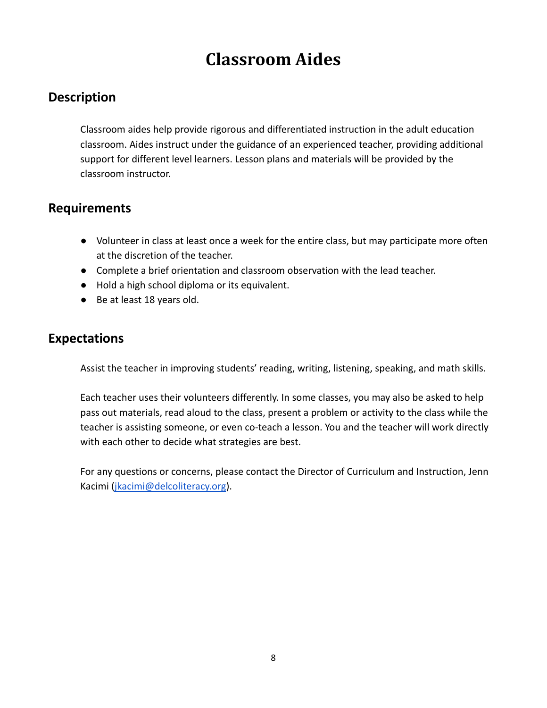# **Classroom Aides**

### <span id="page-7-0"></span>**Description**

Classroom aides help provide rigorous and differentiated instruction in the adult education classroom. Aides instruct under the guidance of an experienced teacher, providing additional support for different level learners. Lesson plans and materials will be provided by the classroom instructor.

### **Requirements**

- Volunteer in class at least once a week for the entire class, but may participate more often at the discretion of the teacher.
- Complete a brief orientation and classroom observation with the lead teacher.
- Hold a high school diploma or its equivalent.
- Be at least 18 years old.

### **Expectations**

Assist the teacher in improving students' reading, writing, listening, speaking, and math skills.

Each teacher uses their volunteers differently. In some classes, you may also be asked to help pass out materials, read aloud to the class, present a problem or activity to the class while the teacher is assisting someone, or even co-teach a lesson. You and the teacher will work directly with each other to decide what strategies are best.

For any questions or concerns, please contact the Director of Curriculum and Instruction, Jenn Kacimi [\(jkacimi@delcoliteracy.org](mailto:jkacimi@delcoliteracy.org)).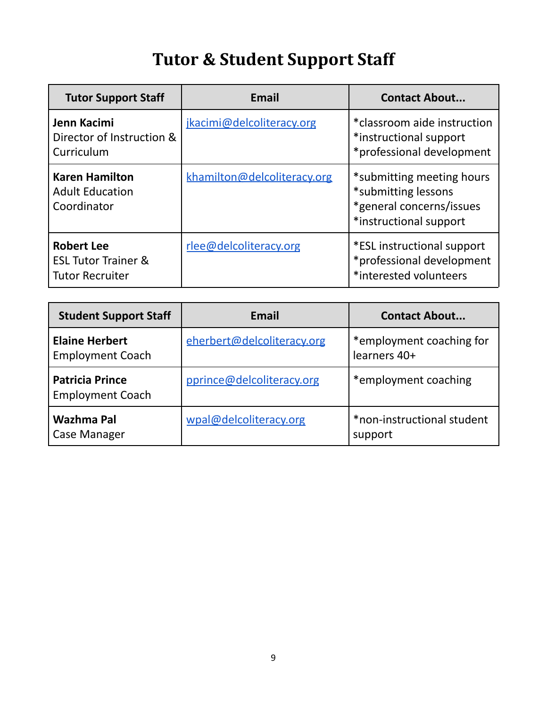# **Tutor & Student Support Staff**

<span id="page-8-0"></span>

| <b>Tutor Support Staff</b>                                                    | <b>Email</b>                | <b>Contact About</b>                                                                                   |
|-------------------------------------------------------------------------------|-----------------------------|--------------------------------------------------------------------------------------------------------|
| Jenn Kacimi<br>Director of Instruction &<br>Curriculum                        | jkacimi@delcoliteracy.org   | *classroom aide instruction<br>*instructional support<br>*professional development                     |
| <b>Karen Hamilton</b><br><b>Adult Education</b><br>Coordinator                | khamilton@delcoliteracy.org | *submitting meeting hours<br>*submitting lessons<br>*general concerns/issues<br>*instructional support |
| <b>Robert Lee</b><br><b>ESL Tutor Trainer &amp;</b><br><b>Tutor Recruiter</b> | rlee@delcoliteracy.org      | *ESL instructional support<br>*professional development<br>*interested volunteers                      |

| <b>Student Support Staff</b>                      | Email                      | <b>Contact About</b>                     |
|---------------------------------------------------|----------------------------|------------------------------------------|
| <b>Elaine Herbert</b><br><b>Employment Coach</b>  | eherbert@delcoliteracy.org | *employment coaching for<br>learners 40+ |
| <b>Patricia Prince</b><br><b>Employment Coach</b> | pprince@delcoliteracy.org  | *employment coaching                     |
| Wazhma Pal<br><b>Case Manager</b>                 | wpal@delcoliteracy.org     | *non-instructional student<br>support    |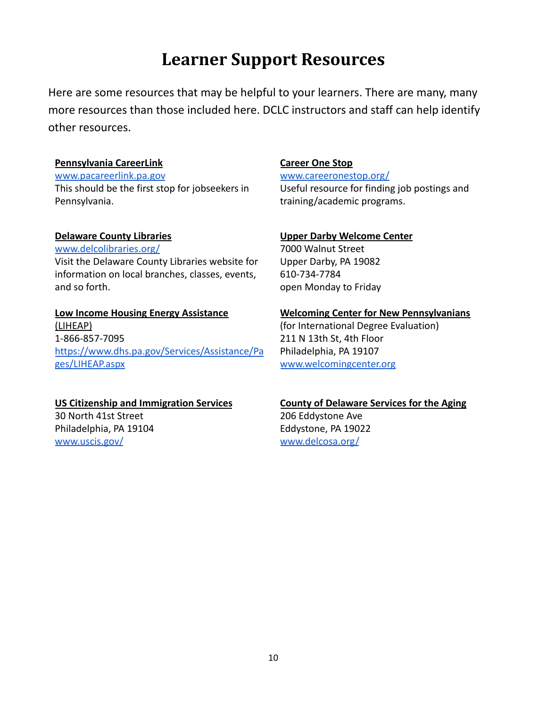# **Learner Support Resources**

<span id="page-9-0"></span>Here are some resources that may be helpful to your learners. There are many, many more resources than those included here. DCLC instructors and staff can help identify other resources.

#### **Pennsylvania CareerLink**

[www.pacareerlink.pa.gov](https://www.pacareerlink.pa.gov/) This should be the first stop for jobseekers in Pennsylvania.

#### **Delaware County Libraries**

[www.delcolibraries.org/](http://www.delcolibraries.org/) Visit the Delaware County Libraries website for information on local branches, classes, events, and so forth.

#### **Low Income Housing Energy Assistance** (LIHEAP) 1-866-857-7095 [https://www.dhs.pa.gov/Services/Assistance/Pa](https://www.dhs.pa.gov/Services/Assistance/Pages/LIHEAP.aspx) [ges/LIHEAP.aspx](https://www.dhs.pa.gov/Services/Assistance/Pages/LIHEAP.aspx)

#### **US Citizenship and Immigration Services**

30 North 41st Street Philadelphia, PA 19104 [www.uscis.gov/](https://www.uscis.gov/)

#### **Career One Stop**

[www.careeronestop.org/](https://www.careeronestop.org/) Useful resource for finding job postings and training/academic programs.

#### **Upper Darby Welcome Center**

7000 Walnut Street Upper Darby, PA 19082 610-734-7784 open Monday to Friday

#### **Welcoming Center for New Pennsylvanians**

(for International Degree Evaluation) 211 N 13th St, 4th Floor Philadelphia, PA 19107 [www.welcomingcenter.org](http://www.welcomingcenter.org)

## **County of Delaware Services for the Aging**

206 Eddystone Ave Eddystone, PA 19022 [www.delcosa.org/](https://www.delcosa.org/)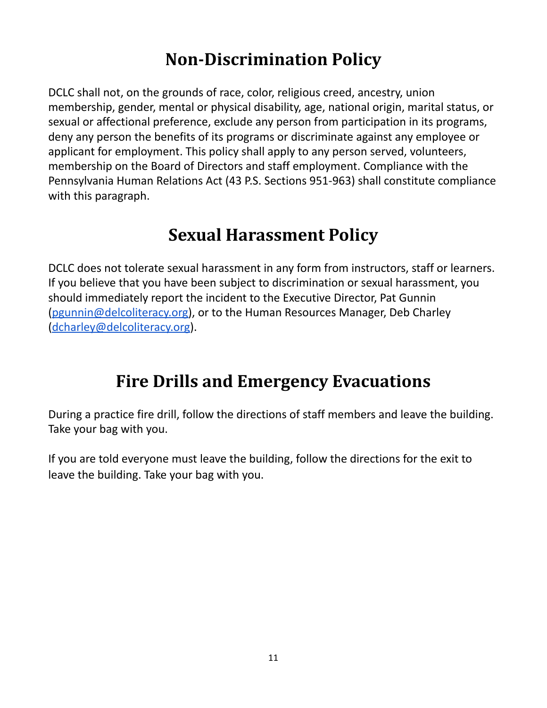# **Non-Discrimination Policy**

<span id="page-10-0"></span>DCLC shall not, on the grounds of race, color, religious creed, ancestry, union membership, gender, mental or physical disability, age, national origin, marital status, or sexual or affectional preference, exclude any person from participation in its programs, deny any person the benefits of its programs or discriminate against any employee or applicant for employment. This policy shall apply to any person served, volunteers, membership on the Board of Directors and staff employment. Compliance with the Pennsylvania Human Relations Act (43 P.S. Sections 951-963) shall constitute compliance with this paragraph.

# **Sexual Harassment Policy**

<span id="page-10-1"></span>DCLC does not tolerate sexual harassment in any form from instructors, staff or learners. If you believe that you have been subject to discrimination or sexual harassment, you should immediately report the incident to the Executive Director, Pat Gunnin [\(pgunnin@delcoliteracy.org\)](mailto:pgunnin@delcoliteracy.org), or to the Human Resources Manager, Deb Charley [\(dcharley@delcoliteracy.org\)](mailto:dcharley@delcoliteracy.org).

# **Fire Drills and Emergency Evacuations**

<span id="page-10-2"></span>During a practice fire drill, follow the directions of staff members and leave the building. Take your bag with you.

If you are told everyone must leave the building, follow the directions for the exit to leave the building. Take your bag with you.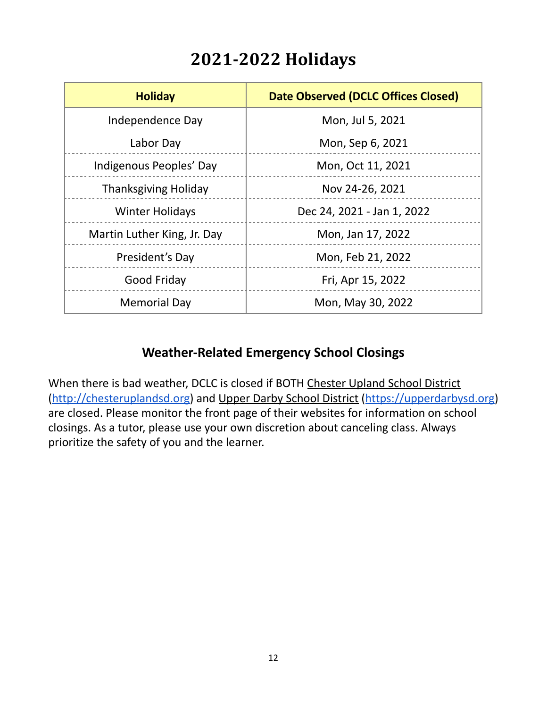# **2021-2022 Holidays**

<span id="page-11-0"></span>

| <b>Holiday</b>              | <b>Date Observed (DCLC Offices Closed)</b> |
|-----------------------------|--------------------------------------------|
| Independence Day            | Mon, Jul 5, 2021                           |
| Labor Day                   | Mon, Sep 6, 2021                           |
| Indigenous Peoples' Day     | Mon, Oct 11, 2021                          |
| <b>Thanksgiving Holiday</b> | Nov 24-26, 2021                            |
| <b>Winter Holidays</b>      | Dec 24, 2021 - Jan 1, 2022                 |
| Martin Luther King, Jr. Day | Mon, Jan 17, 2022                          |
| President's Day             | Mon, Feb 21, 2022                          |
| Good Friday                 | Fri, Apr 15, 2022                          |
| <b>Memorial Day</b>         | Mon, May 30, 2022                          |

### **Weather-Related Emergency School Closings**

When there is bad weather, DCLC is closed if BOTH [Chester](http://www.chesteruplandsd.org/) Upland School District [\(](http://www.chesteruplandsd.org/)<http://chesteruplandsd.org>[\)](http://www.chesteruplandsd.org/) and Upper Darby School [District](https://www.upperdarbysd.org/) (<https://upperdarbysd.org>[\)](https://www.upperdarbysd.org/) are closed. Please monitor the front page of their websites for information on school closings. As a tutor, please use your own discretion about canceling class. Always prioritize the safety of you and the learner.